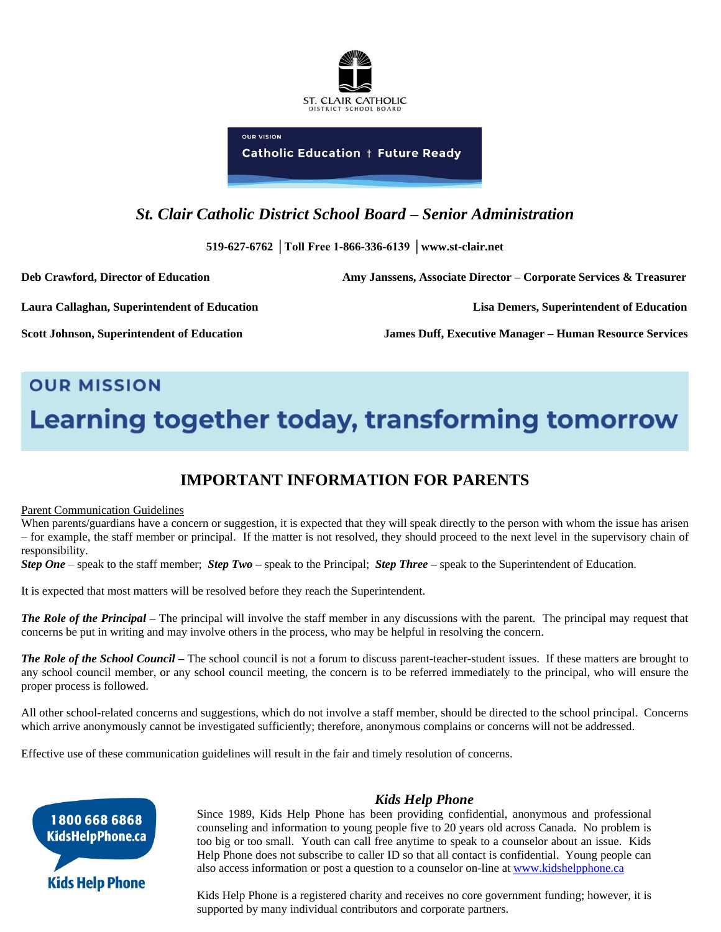

**Catholic Education + Future Ready** 

**OUP VISION** 

# *St. Clair Catholic District School Board – Senior Administration*

**519-627-6762 │Toll Free 1-866-336-6139 │www.st-clair.net**

**Deb Crawford, Director of Education Amy Janssens, Associate Director – Corporate Services & Treasurer**

**Laura Callaghan, Superintendent of Education Lisa Demers, Superintendent of Education**

**Scott Johnson, Superintendent of Education James Duff, Executive Manager – Human Resource Services** 

# **OUR MISSION** Learning together today, transforming tomorrow

# **IMPORTANT INFORMATION FOR PARENTS**

# Parent Communication Guidelines

When parents/guardians have a concern or suggestion, it is expected that they will speak directly to the person with whom the issue has arisen – for example, the staff member or principal. If the matter is not resolved, they should proceed to the next level in the supervisory chain of responsibility.

*Step One* – speak to the staff member; *Step Two –* speak to the Principal; *Step Three –* speak to the Superintendent of Education.

It is expected that most matters will be resolved before they reach the Superintendent.

*The Role of the Principal* – The principal will involve the staff member in any discussions with the parent. The principal may request that concerns be put in writing and may involve others in the process, who may be helpful in resolving the concern.

*The Role of the School Council –* The school council is not a forum to discuss parent-teacher-student issues. If these matters are brought to any school council member, or any school council meeting, the concern is to be referred immediately to the principal, who will ensure the proper process is followed.

All other school-related concerns and suggestions, which do not involve a staff member, should be directed to the school principal. Concerns which arrive anonymously cannot be investigated sufficiently; therefore, anonymous complains or concerns will not be addressed.

Effective use of these communication guidelines will result in the fair and timely resolution of concerns.



# *Kids Help Phone*

Since 1989, Kids Help Phone has been providing confidential, anonymous and professional counseling and information to young people five to 20 years old across Canada. No problem is too big or too small. Youth can call free anytime to speak to a counselor about an issue. Kids Help Phone does not subscribe to caller ID so that all contact is confidential. Young people can also access information or post a question to a counselor on-line at [www.kidshelpphone.ca](http://www.kidshelpphone.ca/)

Kids Help Phone is a registered charity and receives no core government funding; however, it is supported by many individual contributors and corporate partners.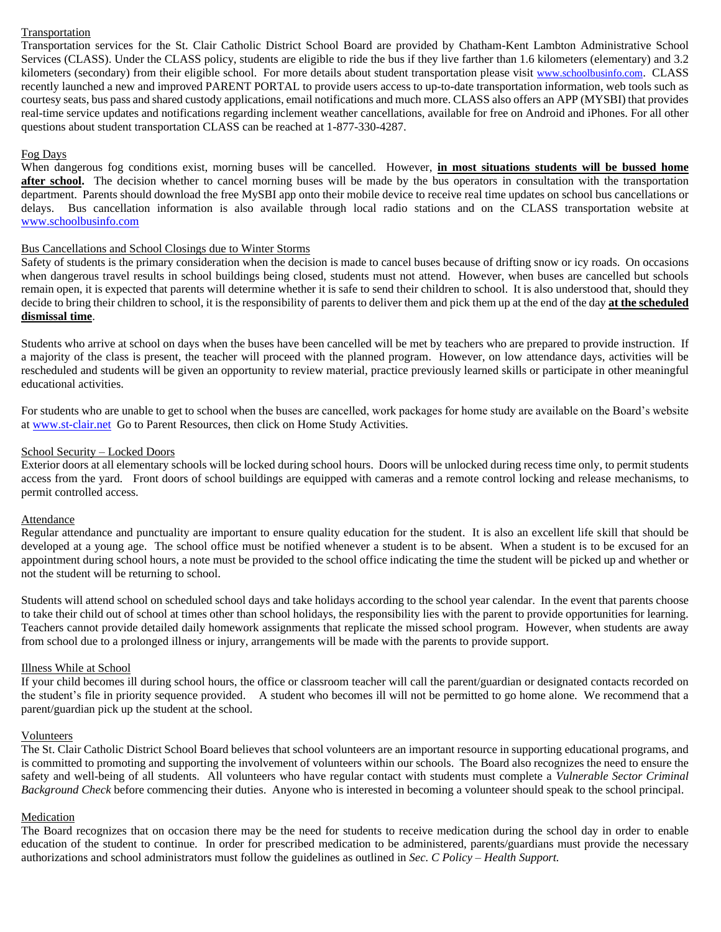# **Transportation**

Transportation services for the St. Clair Catholic District School Board are provided by Chatham-Kent Lambton Administrative School Services (CLASS). Under the CLASS policy, students are eligible to ride the bus if they live farther than 1.6 kilometers (elementary) and 3.2 kilometers (secondary) from their eligible school. For more details about student transportation please visit [www.schoolbusinfo.com](http://www.schoolbusinfo.com/). CLASS recently launched a new and improved PARENT PORTAL to provide users access to up-to-date transportation information, web tools such as courtesy seats, bus pass and shared custody applications, email notifications and much more. CLASS also offers an APP (MYSBI) that provides real-time service updates and notifications regarding inclement weather cancellations, available for free on Android and iPhones. For all other questions about student transportation CLASS can be reached at 1-877-330-4287.

# Fog Days

When dangerous fog conditions exist, morning buses will be cancelled. However, **in most situations students will be bussed home**  after school. The decision whether to cancel morning buses will be made by the bus operators in consultation with the transportation department. Parents should download the free MySBI app onto their mobile device to receive real time updates on school bus cancellations or delays. Bus cancellation information is also available through local radio stations and on the CLASS transportation website at [www.schoolbusinfo.com](http://www.schoolbusinfo.com/)

#### Bus Cancellations and School Closings due to Winter Storms

Safety of students is the primary consideration when the decision is made to cancel buses because of drifting snow or icy roads. On occasions when dangerous travel results in school buildings being closed, students must not attend. However, when buses are cancelled but schools remain open, it is expected that parents will determine whether it is safe to send their children to school. It is also understood that, should they decide to bring their children to school, it is the responsibility of parents to deliver them and pick them up at the end of the day **at the scheduled dismissal time**.

Students who arrive at school on days when the buses have been cancelled will be met by teachers who are prepared to provide instruction. If a majority of the class is present, the teacher will proceed with the planned program. However, on low attendance days, activities will be rescheduled and students will be given an opportunity to review material, practice previously learned skills or participate in other meaningful educational activities.

For students who are unable to get to school when the buses are cancelled, work packages for home study are available on the Board's website a[t www.st-clair.net](http://www.st-clair.net/) Go to Parent Resources, then click on Home Study Activities.

#### School Security – Locked Doors

Exterior doors at all elementary schools will be locked during school hours. Doors will be unlocked during recess time only, to permit students access from the yard. Front doors of school buildings are equipped with cameras and a remote control locking and release mechanisms, to permit controlled access.

## Attendance

Regular attendance and punctuality are important to ensure quality education for the student. It is also an excellent life skill that should be developed at a young age. The school office must be notified whenever a student is to be absent. When a student is to be excused for an appointment during school hours, a note must be provided to the school office indicating the time the student will be picked up and whether or not the student will be returning to school.

Students will attend school on scheduled school days and take holidays according to the school year calendar. In the event that parents choose to take their child out of school at times other than school holidays, the responsibility lies with the parent to provide opportunities for learning. Teachers cannot provide detailed daily homework assignments that replicate the missed school program. However, when students are away from school due to a prolonged illness or injury, arrangements will be made with the parents to provide support.

#### Illness While at School

If your child becomes ill during school hours, the office or classroom teacher will call the parent/guardian or designated contacts recorded on the student's file in priority sequence provided. A student who becomes ill will not be permitted to go home alone. We recommend that a parent/guardian pick up the student at the school.

#### Volunteers

The St. Clair Catholic District School Board believes that school volunteers are an important resource in supporting educational programs, and is committed to promoting and supporting the involvement of volunteers within our schools. The Board also recognizes the need to ensure the safety and well-being of all students. All volunteers who have regular contact with students must complete a *Vulnerable Sector Criminal Background Check* before commencing their duties. Anyone who is interested in becoming a volunteer should speak to the school principal.

#### Medication

The Board recognizes that on occasion there may be the need for students to receive medication during the school day in order to enable education of the student to continue. In order for prescribed medication to be administered, parents/guardians must provide the necessary authorizations and school administrators must follow the guidelines as outlined in *Sec. C Policy – Health Support.*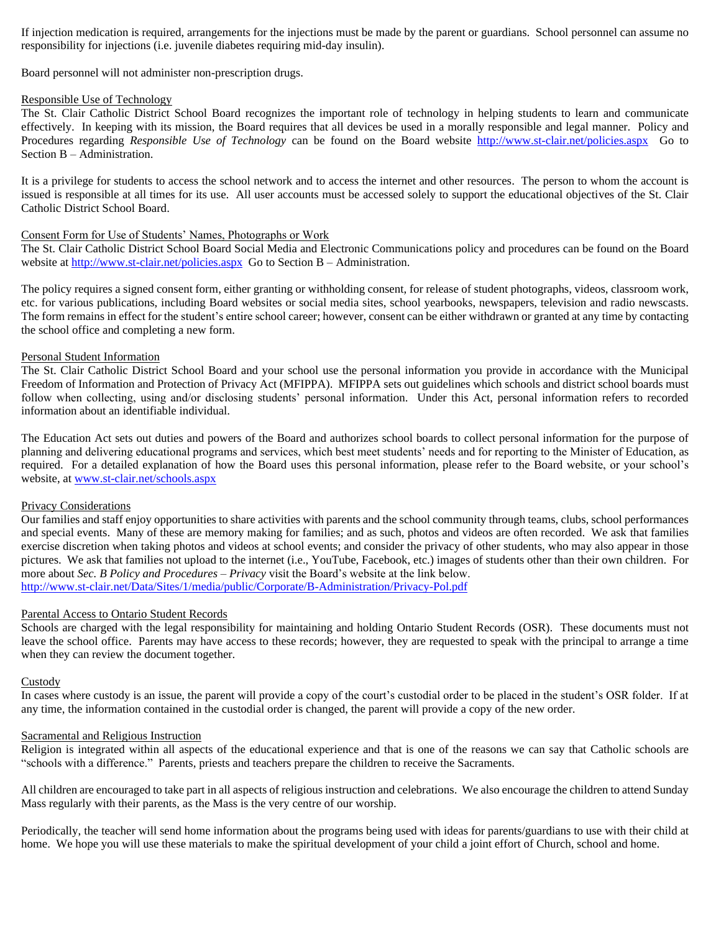If injection medication is required, arrangements for the injections must be made by the parent or guardians. School personnel can assume no responsibility for injections (i.e. juvenile diabetes requiring mid-day insulin).

Board personnel will not administer non-prescription drugs.

#### Responsible Use of Technology

The St. Clair Catholic District School Board recognizes the important role of technology in helping students to learn and communicate effectively. In keeping with its mission, the Board requires that all devices be used in a morally responsible and legal manner. Policy and Procedures regarding *Responsible Use of Technology* can be found on the Board website<http://www.st-clair.net/policies.aspx>Go to Section B – Administration.

It is a privilege for students to access the school network and to access the internet and other resources. The person to whom the account is issued is responsible at all times for its use. All user accounts must be accessed solely to support the educational objectives of the St. Clair Catholic District School Board.

#### Consent Form for Use of Students' Names, Photographs or Work

The St. Clair Catholic District School Board Social Media and Electronic Communications policy and procedures can be found on the Board website at<http://www.st-clair.net/policies.aspx> Go to Section B – Administration.

The policy requires a signed consent form, either granting or withholding consent, for release of student photographs, videos, classroom work, etc. for various publications, including Board websites or social media sites, school yearbooks, newspapers, television and radio newscasts. The form remains in effect for the student's entire school career; however, consent can be either withdrawn or granted at any time by contacting the school office and completing a new form.

#### Personal Student Information

The St. Clair Catholic District School Board and your school use the personal information you provide in accordance with the Municipal Freedom of Information and Protection of Privacy Act (MFIPPA). MFIPPA sets out guidelines which schools and district school boards must follow when collecting, using and/or disclosing students' personal information. Under this Act, personal information refers to recorded information about an identifiable individual.

The Education Act sets out duties and powers of the Board and authorizes school boards to collect personal information for the purpose of planning and delivering educational programs and services, which best meet students' needs and for reporting to the Minister of Education, as required. For a detailed explanation of how the Board uses this personal information, please refer to the Board website, or your school's website, at [www.st-clair.net/schools.aspx](http://www.st-clair.net/schools.aspx)

# Privacy Considerations

Our families and staff enjoy opportunities to share activities with parents and the school community through teams, clubs, school performances and special events. Many of these are memory making for families; and as such, photos and videos are often recorded. We ask that families exercise discretion when taking photos and videos at school events; and consider the privacy of other students, who may also appear in those pictures. We ask that families not upload to the internet (i.e., YouTube, Facebook, etc.) images of students other than their own children. For more about *Sec. B Policy and Procedures – Privacy* visit the Board's website at the link below. <http://www.st-clair.net/Data/Sites/1/media/public/Corporate/B-Administration/Privacy-Pol.pdf>

#### Parental Access to Ontario Student Records

Schools are charged with the legal responsibility for maintaining and holding Ontario Student Records (OSR). These documents must not leave the school office. Parents may have access to these records; however, they are requested to speak with the principal to arrange a time when they can review the document together.

#### **Custody**

In cases where custody is an issue, the parent will provide a copy of the court's custodial order to be placed in the student's OSR folder. If at any time, the information contained in the custodial order is changed, the parent will provide a copy of the new order.

#### Sacramental and Religious Instruction

Religion is integrated within all aspects of the educational experience and that is one of the reasons we can say that Catholic schools are "schools with a difference." Parents, priests and teachers prepare the children to receive the Sacraments.

All children are encouraged to take part in all aspects of religious instruction and celebrations. We also encourage the children to attend Sunday Mass regularly with their parents, as the Mass is the very centre of our worship.

Periodically, the teacher will send home information about the programs being used with ideas for parents/guardians to use with their child at home. We hope you will use these materials to make the spiritual development of your child a joint effort of Church, school and home.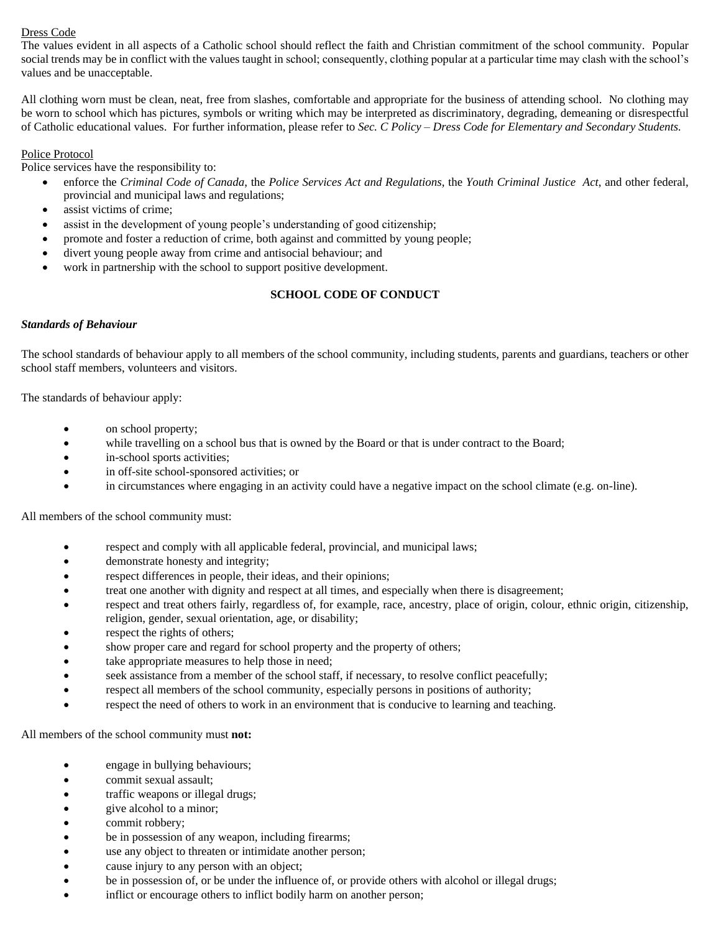# Dress Code

The values evident in all aspects of a Catholic school should reflect the faith and Christian commitment of the school community. Popular social trends may be in conflict with the values taught in school; consequently, clothing popular at a particular time may clash with the school's values and be unacceptable.

All clothing worn must be clean, neat, free from slashes, comfortable and appropriate for the business of attending school. No clothing may be worn to school which has pictures, symbols or writing which may be interpreted as discriminatory, degrading, demeaning or disrespectful of Catholic educational values. For further information, please refer to *Sec. C Policy – Dress Code for Elementary and Secondary Students.*

# Police Protocol

Police services have the responsibility to:

- enforce the *Criminal Code of Canada*, the *Police Services Act and Regulations*, the *Youth Criminal Justice Act*, and other federal, provincial and municipal laws and regulations;
- assist victims of crime;
- assist in the development of young people's understanding of good citizenship;
- promote and foster a reduction of crime, both against and committed by young people;
- divert young people away from crime and antisocial behaviour; and
- work in partnership with the school to support positive development.

# **SCHOOL CODE OF CONDUCT**

#### *Standards of Behaviour*

The school standards of behaviour apply to all members of the school community, including students, parents and guardians, teachers or other school staff members, volunteers and visitors.

The standards of behaviour apply:

- on school property;
- while travelling on a school bus that is owned by the Board or that is under contract to the Board;
- in-school sports activities;
- in off-site school-sponsored activities; or
- in circumstances where engaging in an activity could have a negative impact on the school climate (e.g. on-line).

All members of the school community must:

- respect and comply with all applicable federal, provincial, and municipal laws;
- demonstrate honesty and integrity;
- respect differences in people, their ideas, and their opinions;
- treat one another with dignity and respect at all times, and especially when there is disagreement;
- respect and treat others fairly, regardless of, for example, race, ancestry, place of origin, colour, ethnic origin, citizenship, religion, gender, sexual orientation, age, or disability;
- respect the rights of others;
- show proper care and regard for school property and the property of others;
- take appropriate measures to help those in need;
- seek assistance from a member of the school staff, if necessary, to resolve conflict peacefully;
- respect all members of the school community, especially persons in positions of authority;
- respect the need of others to work in an environment that is conducive to learning and teaching.

All members of the school community must **not:**

- engage in bullying behaviours;
- commit sexual assault;
- traffic weapons or illegal drugs;
- give alcohol to a minor;
- commit robbery;
- be in possession of any weapon, including firearms;
- use any object to threaten or intimidate another person;
- cause injury to any person with an object;
- be in possession of, or be under the influence of, or provide others with alcohol or illegal drugs;
- inflict or encourage others to inflict bodily harm on another person;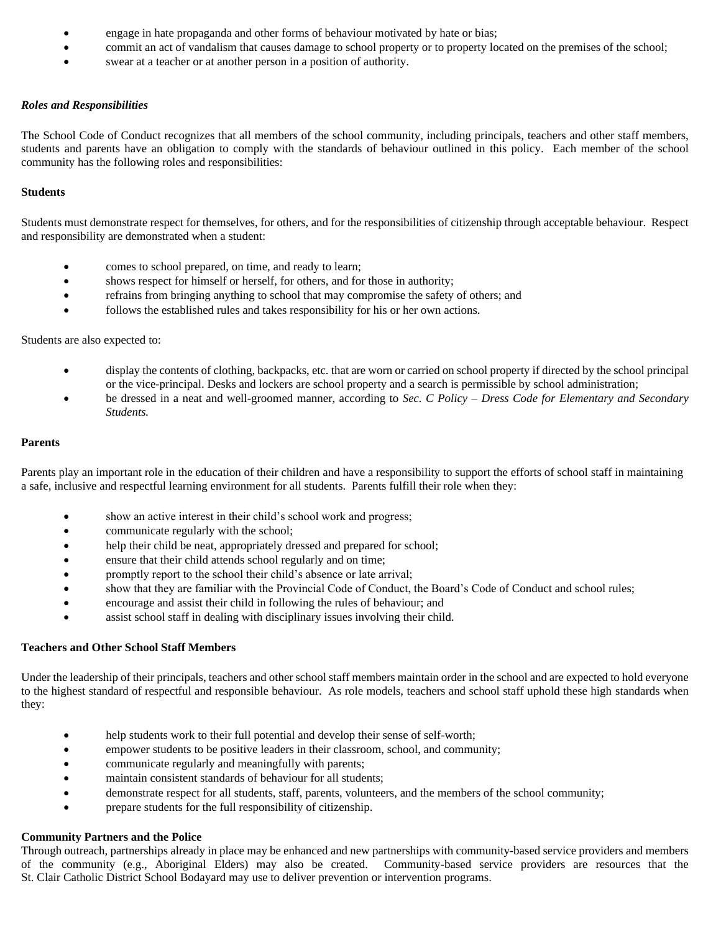- engage in hate propaganda and other forms of behaviour motivated by hate or bias;
- commit an act of vandalism that causes damage to school property or to property located on the premises of the school;
- swear at a teacher or at another person in a position of authority.

# *Roles and Responsibilities*

The School Code of Conduct recognizes that all members of the school community, including principals, teachers and other staff members, students and parents have an obligation to comply with the standards of behaviour outlined in this policy. Each member of the school community has the following roles and responsibilities:

# **Students**

Students must demonstrate respect for themselves, for others, and for the responsibilities of citizenship through acceptable behaviour. Respect and responsibility are demonstrated when a student:

- comes to school prepared, on time, and ready to learn;
- shows respect for himself or herself, for others, and for those in authority;
- refrains from bringing anything to school that may compromise the safety of others; and
- follows the established rules and takes responsibility for his or her own actions.

#### Students are also expected to:

- display the contents of clothing, backpacks, etc. that are worn or carried on school property if directed by the school principal or the vice-principal. Desks and lockers are school property and a search is permissible by school administration;
- be dressed in a neat and well-groomed manner, according to *Sec. C Policy – Dress Code for Elementary and Secondary Students.*

#### **Parents**

Parents play an important role in the education of their children and have a responsibility to support the efforts of school staff in maintaining a safe, inclusive and respectful learning environment for all students. Parents fulfill their role when they:

- show an active interest in their child's school work and progress;
- communicate regularly with the school;
- help their child be neat, appropriately dressed and prepared for school;
- ensure that their child attends school regularly and on time;
- promptly report to the school their child's absence or late arrival;
- show that they are familiar with the Provincial Code of Conduct, the Board's Code of Conduct and school rules;
- encourage and assist their child in following the rules of behaviour; and
- assist school staff in dealing with disciplinary issues involving their child.

# **Teachers and Other School Staff Members**

Under the leadership of their principals, teachers and other school staff members maintain order in the school and are expected to hold everyone to the highest standard of respectful and responsible behaviour. As role models, teachers and school staff uphold these high standards when they:

- help students work to their full potential and develop their sense of self-worth;
- empower students to be positive leaders in their classroom, school, and community;
- communicate regularly and meaningfully with parents;
- maintain consistent standards of behaviour for all students;
- demonstrate respect for all students, staff, parents, volunteers, and the members of the school community;
- prepare students for the full responsibility of citizenship.

# **Community Partners and the Police**

Through outreach, partnerships already in place may be enhanced and new partnerships with community-based service providers and members of the community (e.g., Aboriginal Elders) may also be created. Community-based service providers are resources that the St. Clair Catholic District School Bodayard may use to deliver prevention or intervention programs.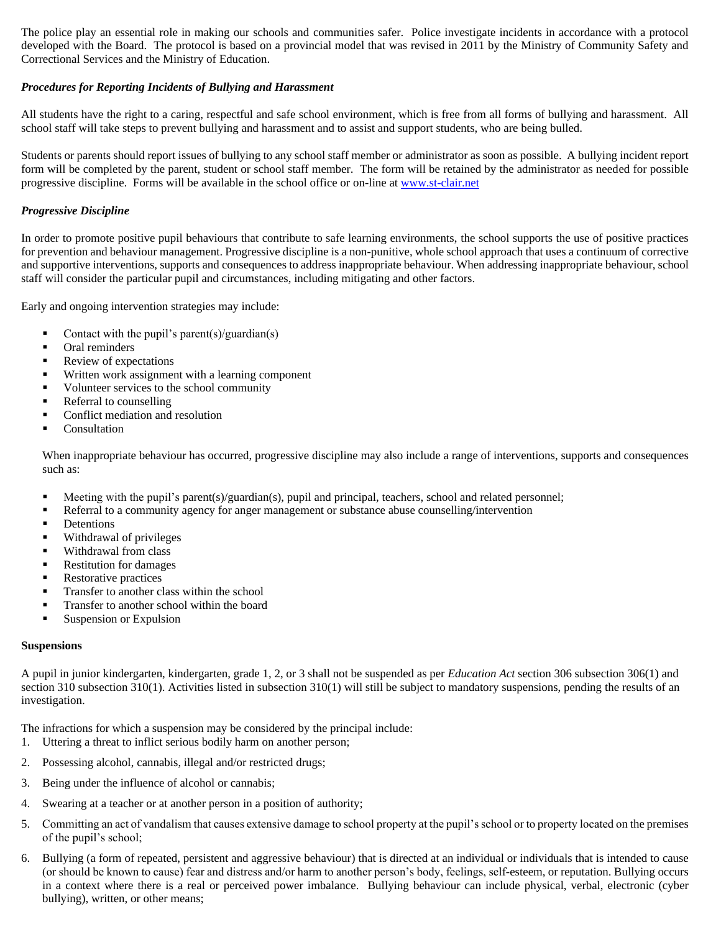The police play an essential role in making our schools and communities safer. Police investigate incidents in accordance with a protocol developed with the Board. The protocol is based on a provincial model that was revised in 2011 by the Ministry of Community Safety and Correctional Services and the Ministry of Education.

# *Procedures for Reporting Incidents of Bullying and Harassment*

All students have the right to a caring, respectful and safe school environment, which is free from all forms of bullying and harassment. All school staff will take steps to prevent bullying and harassment and to assist and support students, who are being bulled.

Students or parents should report issues of bullying to any school staff member or administrator as soon as possible. A bullying incident report form will be completed by the parent, student or school staff member. The form will be retained by the administrator as needed for possible progressive discipline. Forms will be available in the school office or on-line a[t www.st-clair.net](http://www.st-clair.net/)

# *Progressive Discipline*

In order to promote positive pupil behaviours that contribute to safe learning environments, the school supports the use of positive practices for prevention and behaviour management. Progressive discipline is a non-punitive, whole school approach that uses a continuum of corrective and supportive interventions, supports and consequences to address inappropriate behaviour. When addressing inappropriate behaviour, school staff will consider the particular pupil and circumstances, including mitigating and other factors.

Early and ongoing intervention strategies may include:

- Contact with the pupil's parent(s)/guardian(s)
- Oral reminders
- Review of expectations
- Written work assignment with a learning component
- Volunteer services to the school community
- Referral to counselling
- Conflict mediation and resolution
- Consultation

When inappropriate behaviour has occurred, progressive discipline may also include a range of interventions, supports and consequences such as:

- Meeting with the pupil's parent(s)/guardian(s), pupil and principal, teachers, school and related personnel;
- **•** Referral to a community agency for anger management or substance abuse counselling/intervention
- **•** Detentions
- Withdrawal of privileges
- Withdrawal from class
- Restitution for damages
- Restorative practices
- Transfer to another class within the school
- Transfer to another school within the board
- Suspension or Expulsion

# **Suspensions**

A pupil in junior kindergarten, kindergarten, grade 1, 2, or 3 shall not be suspended as per *Education Act* section 306 subsection 306(1) and section 310 subsection 310(1). Activities listed in subsection  $310(1)$  will still be subject to mandatory suspensions, pending the results of an investigation.

The infractions for which a suspension may be considered by the principal include:

- 1. Uttering a threat to inflict serious bodily harm on another person;
- 2. Possessing alcohol, cannabis, illegal and/or restricted drugs;
- 3. Being under the influence of alcohol or cannabis;
- 4. Swearing at a teacher or at another person in a position of authority;
- 5. Committing an act of vandalism that causes extensive damage to school property at the pupil's school or to property located on the premises of the pupil's school;
- 6. Bullying (a form of repeated, persistent and aggressive behaviour) that is directed at an individual or individuals that is intended to cause (or should be known to cause) fear and distress and/or harm to another person's body, feelings, self-esteem, or reputation. Bullying occurs in a context where there is a real or perceived power imbalance. Bullying behaviour can include physical, verbal, electronic (cyber bullying), written, or other means;